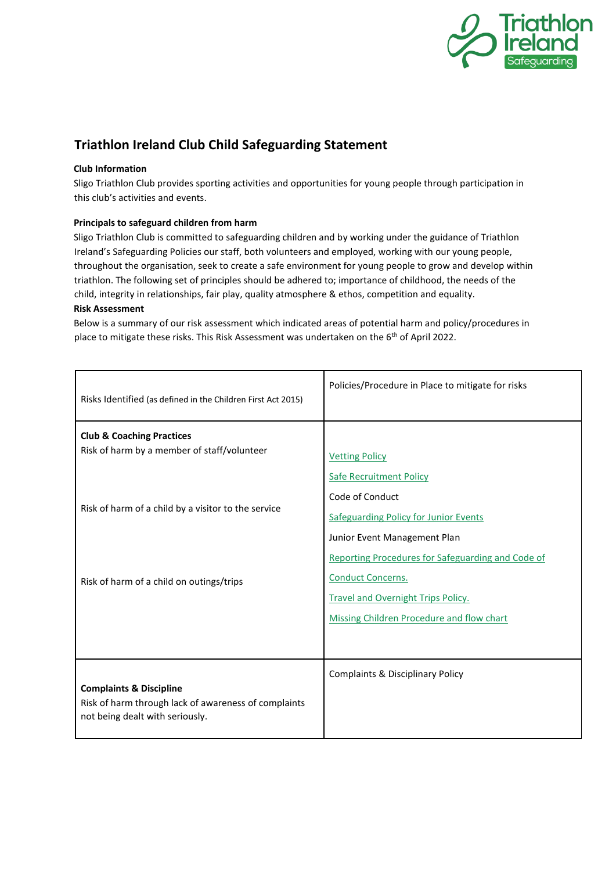

# **Triathlon Ireland Club Child Safeguarding Statement**

### **Club Information**

Sligo Triathlon Club provides sporting activities and opportunities for young people through participation in this club's activities and events.

## **Principals to safeguard children from harm**

Sligo Triathlon Club is committed to safeguarding children and by working under the guidance of Triathlon Ireland's Safeguarding Policies our staff, both volunteers and employed, working with our young people, throughout the organisation, seek to create a safe environment for young people to grow and develop within triathlon. The following set of principles should be adhered to; importance of childhood, the needs of the child, integrity in relationships, fair play, quality atmosphere & ethos, competition and equality.

# **Risk Assessment**

Below is a summary of our risk assessment which indicated areas of potential harm and policy/procedures in place to mitigate these risks. This Risk Assessment was undertaken on the 6<sup>th</sup> of April 2022.

| Risks Identified (as defined in the Children First Act 2015)                                                                  | Policies/Procedure in Place to mitigate for risks                                                                                                                                                                                                                          |
|-------------------------------------------------------------------------------------------------------------------------------|----------------------------------------------------------------------------------------------------------------------------------------------------------------------------------------------------------------------------------------------------------------------------|
| <b>Club &amp; Coaching Practices</b><br>Risk of harm by a member of staff/volunteer                                           | <b>Vetting Policy</b><br><b>Safe Recruitment Policy</b>                                                                                                                                                                                                                    |
| Risk of harm of a child by a visitor to the service<br>Risk of harm of a child on outings/trips                               | Code of Conduct<br><b>Safeguarding Policy for Junior Events</b><br>Junior Event Management Plan<br>Reporting Procedures for Safeguarding and Code of<br><b>Conduct Concerns.</b><br><b>Travel and Overnight Trips Policy.</b><br>Missing Children Procedure and flow chart |
| <b>Complaints &amp; Discipline</b><br>Risk of harm through lack of awareness of complaints<br>not being dealt with seriously. | <b>Complaints &amp; Disciplinary Policy</b>                                                                                                                                                                                                                                |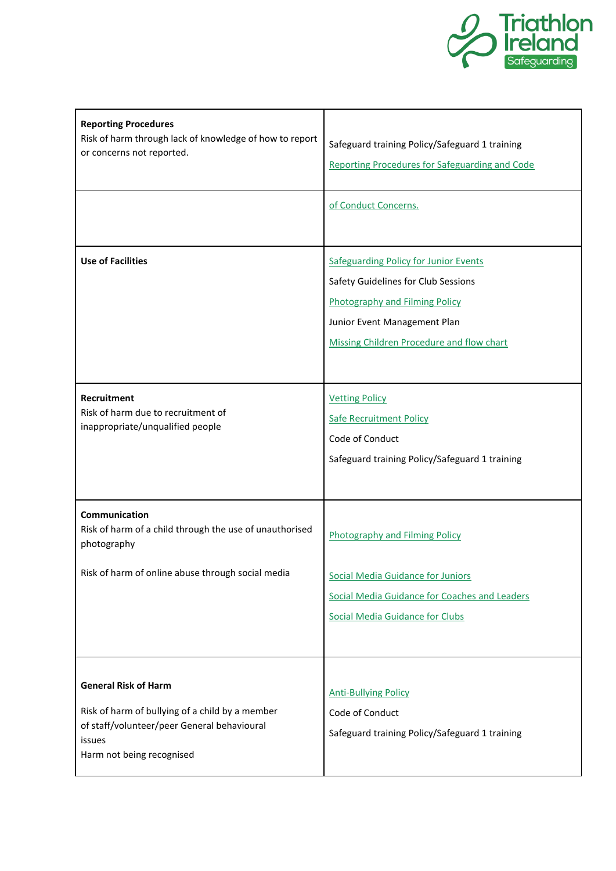

| <b>Reporting Procedures</b><br>Risk of harm through lack of knowledge of how to report<br>or concerns not reported.                                                  | Safeguard training Policy/Safeguard 1 training<br>Reporting Procedures for Safeguarding and Code                                                                                                          |
|----------------------------------------------------------------------------------------------------------------------------------------------------------------------|-----------------------------------------------------------------------------------------------------------------------------------------------------------------------------------------------------------|
|                                                                                                                                                                      | of Conduct Concerns.                                                                                                                                                                                      |
| <b>Use of Facilities</b>                                                                                                                                             | <b>Safeguarding Policy for Junior Events</b><br>Safety Guidelines for Club Sessions<br><b>Photography and Filming Policy</b><br>Junior Event Management Plan<br>Missing Children Procedure and flow chart |
| <b>Recruitment</b><br>Risk of harm due to recruitment of<br>inappropriate/unqualified people                                                                         | <b>Vetting Policy</b><br><b>Safe Recruitment Policy</b><br>Code of Conduct<br>Safeguard training Policy/Safeguard 1 training                                                                              |
| Communication<br>Risk of harm of a child through the use of unauthorised<br>photography                                                                              | <b>Photography and Filming Policy</b>                                                                                                                                                                     |
| Risk of harm of online abuse through social media                                                                                                                    | <b>Social Media Guidance for Juniors</b><br>Social Media Guidance for Coaches and Leaders<br><b>Social Media Guidance for Clubs</b>                                                                       |
| <b>General Risk of Harm</b><br>Risk of harm of bullying of a child by a member<br>of staff/volunteer/peer General behavioural<br>issues<br>Harm not being recognised | <b>Anti-Bullying Policy</b><br>Code of Conduct<br>Safeguard training Policy/Safeguard 1 training                                                                                                          |